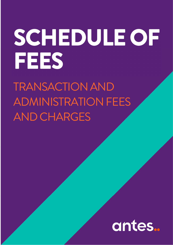## SCHEDULE OF FEES

TRANSACTIONAND ADMINISTRATION FEES AND CHARGES

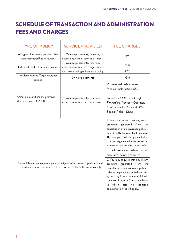## SCHEDULE OF TRANSACTION AND ADMINISTRATION FEES AND CHARGES

| <b>TYPE OF POLICY</b>                                                                                                                                         | <b>SERVICE PROVIDED</b>                                             | <b>FEE CHARGED</b>                                                                                                                                                                                                                                                                                                                                                                                                                                                                                                                                                                                                                                                            |
|---------------------------------------------------------------------------------------------------------------------------------------------------------------|---------------------------------------------------------------------|-------------------------------------------------------------------------------------------------------------------------------------------------------------------------------------------------------------------------------------------------------------------------------------------------------------------------------------------------------------------------------------------------------------------------------------------------------------------------------------------------------------------------------------------------------------------------------------------------------------------------------------------------------------------------------|
| All types of insurance policies other<br>than those specified hereunder                                                                                       | On new placements, renewals,<br>extensions, or mid-term adjustments | €5                                                                                                                                                                                                                                                                                                                                                                                                                                                                                                                                                                                                                                                                            |
| Individual Health Insurance Policies                                                                                                                          | On new placements, renewals,<br>extensions, or mid-term adjustments | €15                                                                                                                                                                                                                                                                                                                                                                                                                                                                                                                                                                                                                                                                           |
| Individual Marine Cargo Insurance<br>policies.                                                                                                                | On re-marketing of insurance policy<br>On new placements            | €25<br>€15                                                                                                                                                                                                                                                                                                                                                                                                                                                                                                                                                                                                                                                                    |
| Other polices where the premium<br>does not exceed €2500.                                                                                                     | On new placements, renewals,<br>extensions, or mid-term adjustments | Professional Liabilities and<br>Medical malpractice $\epsilon$ 50<br>Directors & Officers, Freight<br>Forwarders, Transport Operator,<br>Contractors All Risks and Other<br>Special Risks - €100                                                                                                                                                                                                                                                                                                                                                                                                                                                                              |
| Cancellation of an Insurance policy is subject to the insurer's guidelines and<br>the administration fees referred to in this Part of the Schedule also apply |                                                                     | 1. You may request that any return<br>generated from<br>premium<br>the<br>cancellation of an insurance policy is<br>paid directly to your bank account.<br>The Company will charge, in addition<br>to any charge made by the insurer, an<br>administration fee which is equivalent<br>to the brokerage earned on the last<br>annual/renewal premium.<br>2. You may request that any return<br>premium generated from<br>the<br>cancellation of an insurance policy is<br>retained in your account to be utilised<br>against any future premium(s) due in<br>the next 12 months from cancellation<br>which<br>additional<br>case<br>in<br>no<br>administration fee will apply. |